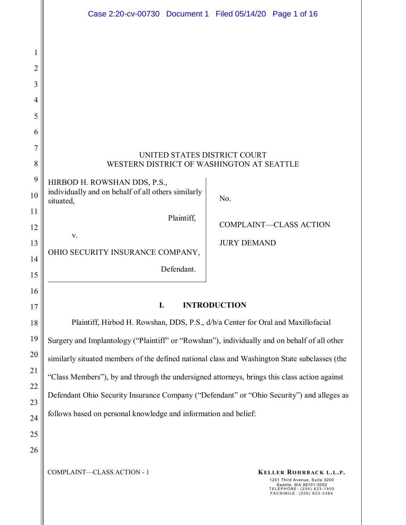|                | Case 2:20-cv-00730 Document 1 Filed 05/14/20 Page 1 of 16                                     |                     |                               |  |  |  |  |  |  |
|----------------|-----------------------------------------------------------------------------------------------|---------------------|-------------------------------|--|--|--|--|--|--|
|                |                                                                                               |                     |                               |  |  |  |  |  |  |
| 1              |                                                                                               |                     |                               |  |  |  |  |  |  |
| $\overline{2}$ |                                                                                               |                     |                               |  |  |  |  |  |  |
| 3              |                                                                                               |                     |                               |  |  |  |  |  |  |
| $\overline{4}$ |                                                                                               |                     |                               |  |  |  |  |  |  |
| 5              |                                                                                               |                     |                               |  |  |  |  |  |  |
| 6              |                                                                                               |                     |                               |  |  |  |  |  |  |
| $\overline{7}$ | UNITED STATES DISTRICT COURT                                                                  |                     |                               |  |  |  |  |  |  |
| 8              | WESTERN DISTRICT OF WASHINGTON AT SEATTLE                                                     |                     |                               |  |  |  |  |  |  |
| 9              | HIRBOD H. ROWSHAN DDS, P.S.,<br>individually and on behalf of all others similarly            |                     |                               |  |  |  |  |  |  |
| 10             | situated,                                                                                     | No.                 |                               |  |  |  |  |  |  |
| 11             | Plaintiff,                                                                                    |                     |                               |  |  |  |  |  |  |
| 12             | V.                                                                                            |                     | <b>COMPLAINT-CLASS ACTION</b> |  |  |  |  |  |  |
| 13             | OHIO SECURITY INSURANCE COMPANY,                                                              | <b>JURY DEMAND</b>  |                               |  |  |  |  |  |  |
| 14             | Defendant.                                                                                    |                     |                               |  |  |  |  |  |  |
| 15             |                                                                                               |                     |                               |  |  |  |  |  |  |
| 16             | I.                                                                                            | <b>INTRODUCTION</b> |                               |  |  |  |  |  |  |
| 17             |                                                                                               |                     |                               |  |  |  |  |  |  |
| 18             | Plaintiff, Hirbod H. Rowshan, DDS, P.S., d/b/a Center for Oral and Maxillofacial              |                     |                               |  |  |  |  |  |  |
| 19             | Surgery and Implantology ("Plaintiff" or "Rowshan"), individually and on behalf of all other  |                     |                               |  |  |  |  |  |  |
| 20             | similarly situated members of the defined national class and Washington State subclasses (the |                     |                               |  |  |  |  |  |  |
| 21             | "Class Members"), by and through the undersigned attorneys, brings this class action against  |                     |                               |  |  |  |  |  |  |
| 22             | Defendant Ohio Security Insurance Company ("Defendant" or "Ohio Security") and alleges as     |                     |                               |  |  |  |  |  |  |
| 23             | follows based on personal knowledge and information and belief:                               |                     |                               |  |  |  |  |  |  |
| 24             |                                                                                               |                     |                               |  |  |  |  |  |  |
| 25             |                                                                                               |                     |                               |  |  |  |  |  |  |

COMPLAINT—CLASS ACTION - 1 **KELLER ROHRBACK L.L.P.** 

26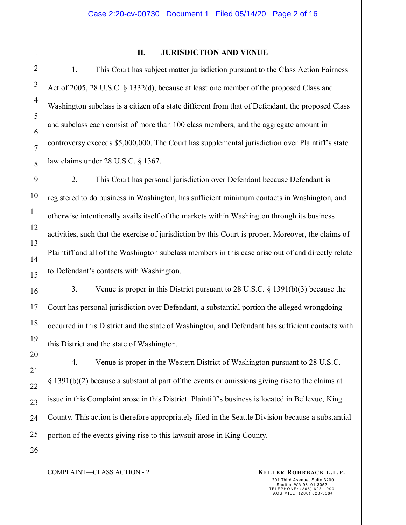26

1

#### **II. JURISDICTION AND VENUE**

1. This Court has subject matter jurisdiction pursuant to the Class Action Fairness Act of 2005, 28 U.S.C. § 1332(d), because at least one member of the proposed Class and Washington subclass is a citizen of a state different from that of Defendant, the proposed Class and subclass each consist of more than 100 class members, and the aggregate amount in controversy exceeds \$5,000,000. The Court has supplemental jurisdiction over Plaintiff's state law claims under 28 U.S.C. § 1367.

2. This Court has personal jurisdiction over Defendant because Defendant is registered to do business in Washington, has sufficient minimum contacts in Washington, and otherwise intentionally avails itself of the markets within Washington through its business activities, such that the exercise of jurisdiction by this Court is proper. Moreover, the claims of Plaintiff and all of the Washington subclass members in this case arise out of and directly relate to Defendant's contacts with Washington.

3. Venue is proper in this District pursuant to 28 U.S.C. § 1391(b)(3) because the Court has personal jurisdiction over Defendant, a substantial portion the alleged wrongdoing occurred in this District and the state of Washington, and Defendant has sufficient contacts with this District and the state of Washington.

4. Venue is proper in the Western District of Washington pursuant to 28 U.S.C. § 1391(b)(2) because a substantial part of the events or omissions giving rise to the claims at issue in this Complaint arose in this District. Plaintiff's business is located in Bellevue, King County. This action is therefore appropriately filed in the Seattle Division because a substantial portion of the events giving rise to this lawsuit arose in King County.

COMPLAINT—CLASS ACTION - 2 **KELLER ROHRBACK L.L.P.**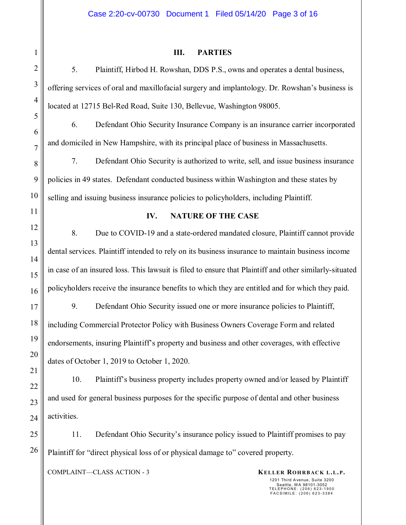# 1 2 3 4 5 6 7 8 9 10 11 12 13 14 15 16 17 18 19 20 21 22 23 24 25 26

### **III. PARTIES**

5. Plaintiff, Hirbod H. Rowshan, DDS P.S., owns and operates a dental business, offering services of oral and maxillofacial surgery and implantology. Dr. Rowshan's business is located at 12715 Bel-Red Road, Suite 130, Bellevue, Washington 98005.

6. Defendant Ohio Security Insurance Company is an insurance carrier incorporated and domiciled in New Hampshire, with its principal place of business in Massachusetts.

7. Defendant Ohio Security is authorized to write, sell, and issue business insurance policies in 49 states. Defendant conducted business within Washington and these states by selling and issuing business insurance policies to policyholders, including Plaintiff.

#### **IV. NATURE OF THE CASE**

8. Due to COVID-19 and a state-ordered mandated closure, Plaintiff cannot provide dental services. Plaintiff intended to rely on its business insurance to maintain business income in case of an insured loss. This lawsuit is filed to ensure that Plaintiff and other similarly-situated policyholders receive the insurance benefits to which they are entitled and for which they paid.

9. Defendant Ohio Security issued one or more insurance policies to Plaintiff, including Commercial Protector Policy with Business Owners Coverage Form and related endorsements, insuring Plaintiff's property and business and other coverages, with effective dates of October 1, 2019 to October 1, 2020.

10. Plaintiff's business property includes property owned and/or leased by Plaintiff and used for general business purposes for the specific purpose of dental and other business activities.

11. Defendant Ohio Security's insurance policy issued to Plaintiff promises to pay Plaintiff for "direct physical loss of or physical damage to" covered property.

COMPLAINT—CLASS ACTION - 3 **KELLER ROHRBACK L.L.P.**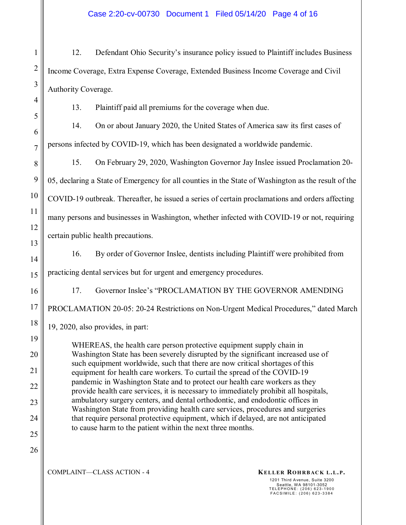Case 2:20-cv-00730 Document 1 Filed 05/14/20 Page 4 of 16

12. Defendant Ohio Security's insurance policy issued to Plaintiff includes Business Income Coverage, Extra Expense Coverage, Extended Business Income Coverage and Civil Authority Coverage.

13. Plaintiff paid all premiums for the coverage when due.

14. On or about January 2020, the United States of America saw its first cases of persons infected by COVID-19, which has been designated a worldwide pandemic.

15. On February 29, 2020, Washington Governor Jay Inslee issued Proclamation 20- 05, declaring a State of Emergency for all counties in the State of Washington as the result of the COVID-19 outbreak. Thereafter, he issued a series of certain proclamations and orders affecting many persons and businesses in Washington, whether infected with COVID-19 or not, requiring certain public health precautions.

16. By order of Governor Inslee, dentists including Plaintiff were prohibited from practicing dental services but for urgent and emergency procedures.

17. Governor Inslee's "PROCLAMATION BY THE GOVERNOR AMENDING PROCLAMATION 20-05: 20-24 Restrictions on Non-Urgent Medical Procedures," dated March

19, 2020, also provides, in part:

WHEREAS, the health care person protective equipment supply chain in Washington State has been severely disrupted by the significant increased use of such equipment worldwide, such that there are now critical shortages of this equipment for health care workers. To curtail the spread of the COVID-19 pandemic in Washington State and to protect our health care workers as they provide health care services, it is necessary to immediately prohibit all hospitals, ambulatory surgery centers, and dental orthodontic, and endodontic offices in Washington State from providing health care services, procedures and surgeries that require personal protective equipment, which if delayed, are not anticipated to cause harm to the patient within the next three months.

COMPLAINT—CLASS ACTION - 4 **KELLER ROHRBACK L.L.P.**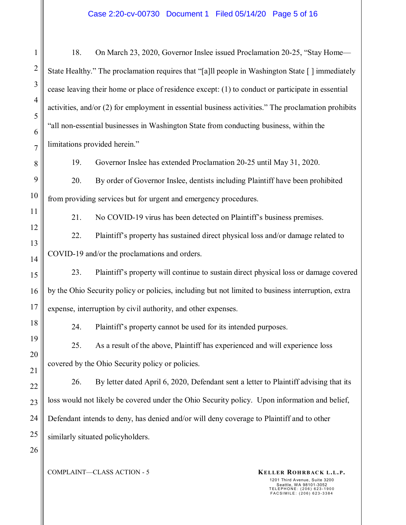1 2 3 4 5 6 7 8 9 10 11 12 13 14 15 16 17 18 19 20 21 22 23 24 25 26 18. On March 23, 2020, Governor Inslee issued Proclamation 20-25, "Stay Home— State Healthy." The proclamation requires that "[a]ll people in Washington State [ ] immediately cease leaving their home or place of residence except: (1) to conduct or participate in essential activities, and/or (2) for employment in essential business activities." The proclamation prohibits "all non-essential businesses in Washington State from conducting business, within the limitations provided herein." 19. Governor Inslee has extended Proclamation 20-25 until May 31, 2020. 20. By order of Governor Inslee, dentists including Plaintiff have been prohibited from providing services but for urgent and emergency procedures. 21. No COVID-19 virus has been detected on Plaintiff's business premises. 22. Plaintiff's property has sustained direct physical loss and/or damage related to COVID-19 and/or the proclamations and orders. 23. Plaintiff's property will continue to sustain direct physical loss or damage covered by the Ohio Security policy or policies, including but not limited to business interruption, extra expense, interruption by civil authority, and other expenses. 24. Plaintiff's property cannot be used for its intended purposes. 25. As a result of the above, Plaintiff has experienced and will experience loss covered by the Ohio Security policy or policies. 26. By letter dated April 6, 2020, Defendant sent a letter to Plaintiff advising that its loss would not likely be covered under the Ohio Security policy. Upon information and belief, Defendant intends to deny, has denied and/or will deny coverage to Plaintiff and to other similarly situated policyholders.

COMPLAINT—CLASS ACTION - 5 **KELLER ROHRBACK L.L.P.**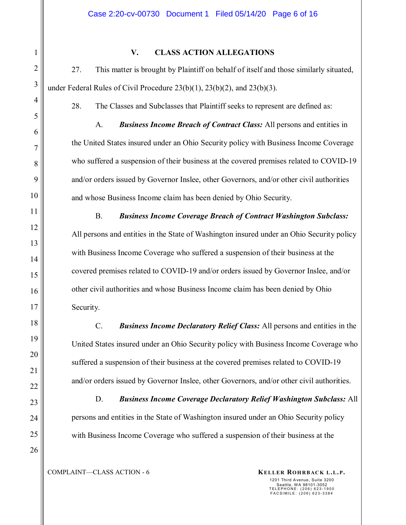#### **V. CLASS ACTION ALLEGATIONS**

27. This matter is brought by Plaintiff on behalf of itself and those similarly situated, under Federal Rules of Civil Procedure 23(b)(1), 23(b)(2), and 23(b)(3).

28. The Classes and Subclasses that Plaintiff seeks to represent are defined as:

A. *Business Income Breach of Contract Class:* All persons and entities in the United States insured under an Ohio Security policy with Business Income Coverage who suffered a suspension of their business at the covered premises related to COVID-19 and/or orders issued by Governor Inslee, other Governors, and/or other civil authorities and whose Business Income claim has been denied by Ohio Security.

B. *Business Income Coverage Breach of Contract Washington Subclass:* All persons and entities in the State of Washington insured under an Ohio Security policy with Business Income Coverage who suffered a suspension of their business at the covered premises related to COVID-19 and/or orders issued by Governor Inslee, and/or other civil authorities and whose Business Income claim has been denied by Ohio Security.

C. *Business Income Declaratory Relief Class:* All persons and entities in the United States insured under an Ohio Security policy with Business Income Coverage who suffered a suspension of their business at the covered premises related to COVID-19 and/or orders issued by Governor Inslee, other Governors, and/or other civil authorities.

D. *Business Income Coverage Declaratory Relief Washington Subclass:* All persons and entities in the State of Washington insured under an Ohio Security policy with Business Income Coverage who suffered a suspension of their business at the

COMPLAINT—CLASS ACTION - 6 **KELLER ROHRBACK L.L.P.** 

1201 Third Avenue, Suite 3200

Seattle, WA 98101-3052 TELEPHONE: (206) 623-1900 FACSIMILE: (206) 623-3384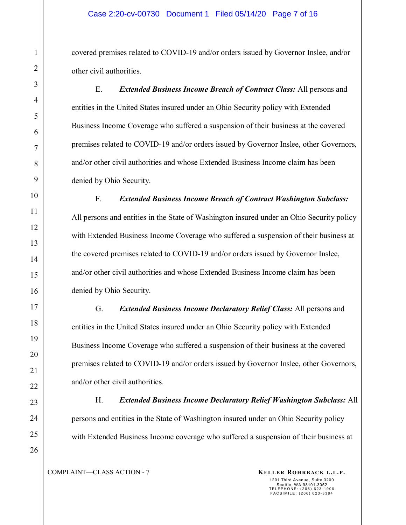covered premises related to COVID-19 and/or orders issued by Governor Inslee, and/or other civil authorities.

E. *Extended Business Income Breach of Contract Class:* All persons and entities in the United States insured under an Ohio Security policy with Extended Business Income Coverage who suffered a suspension of their business at the covered premises related to COVID-19 and/or orders issued by Governor Inslee, other Governors, and/or other civil authorities and whose Extended Business Income claim has been denied by Ohio Security.

F. *Extended Business Income Breach of Contract Washington Subclass:* All persons and entities in the State of Washington insured under an Ohio Security policy with Extended Business Income Coverage who suffered a suspension of their business at the covered premises related to COVID-19 and/or orders issued by Governor Inslee, and/or other civil authorities and whose Extended Business Income claim has been denied by Ohio Security.

G. *Extended Business Income Declaratory Relief Class:* All persons and entities in the United States insured under an Ohio Security policy with Extended Business Income Coverage who suffered a suspension of their business at the covered premises related to COVID-19 and/or orders issued by Governor Inslee, other Governors, and/or other civil authorities.

H. *Extended Business Income Declaratory Relief Washington Subclass:* All persons and entities in the State of Washington insured under an Ohio Security policy with Extended Business Income coverage who suffered a suspension of their business at

COMPLAINT—CLASS ACTION - 7 **KELLER ROHRBACK L.L.P.**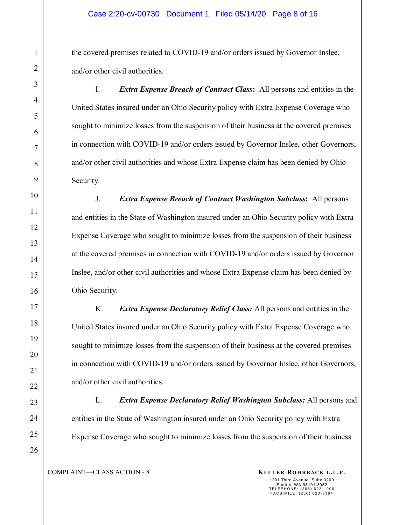the covered premises related to COVID-19 and/or orders issued by Governor Inslee, and/or other civil authorities.

I. *Extra Expense Breach of Contract Class***:** All persons and entities in the United States insured under an Ohio Security policy with Extra Expense Coverage who sought to minimize losses from the suspension of their business at the covered premises in connection with COVID-19 and/or orders issued by Governor Inslee, other Governors, and/or other civil authorities and whose Extra Expense claim has been denied by Ohio Security.

J. *Extra Expense Breach of Contract Washington Subclass***:** All persons and entities in the State of Washington insured under an Ohio Security policy with Extra Expense Coverage who sought to minimize losses from the suspension of their business at the covered premises in connection with COVID-19 and/or orders issued by Governor Inslee, and/or other civil authorities and whose Extra Expense claim has been denied by Ohio Security.

K. *Extra Expense Declaratory Relief Class:* All persons and entities in the United States insured under an Ohio Security policy with Extra Expense Coverage who sought to minimize losses from the suspension of their business at the covered premises in connection with COVID-19 and/or orders issued by Governor Inslee, other Governors, and/or other civil authorities.

L. *Extra Expense Declaratory Relief Washington Subclass:* All persons and entities in the State of Washington insured under an Ohio Security policy with Extra Expense Coverage who sought to minimize losses from the suspension of their business

COMPLAINT—CLASS ACTION - 8 **KELLER ROHRBACK L.L.P.**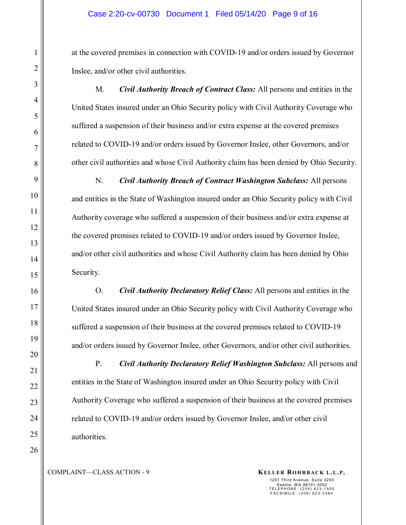at the covered premises in connection with COVID-19 and/or orders issued by Governor Inslee, and/or other civil authorities.

M. *Civil Authority Breach of Contract Class:* All persons and entities in the United States insured under an Ohio Security policy with Civil Authority Coverage who suffered a suspension of their business and/or extra expense at the covered premises related to COVID-19 and/or orders issued by Governor Inslee, other Governors, and/or other civil authorities and whose Civil Authority claim has been denied by Ohio Security.

N. *Civil Authority Breach of Contract Washington Subclass:* All persons and entities in the State of Washington insured under an Ohio Security policy with Civil Authority coverage who suffered a suspension of their business and/or extra expense at the covered premises related to COVID-19 and/or orders issued by Governor Inslee, and/or other civil authorities and whose Civil Authority claim has been denied by Ohio Security.

O. *Civil Authority Declaratory Relief Class:* All persons and entities in the United States insured under an Ohio Security policy with Civil Authority Coverage who suffered a suspension of their business at the covered premises related to COVID-19 and/or orders issued by Governor Inslee, other Governors, and/or other civil authorities.

P. *Civil Authority Declaratory Relief Washington Subclass:* All persons and entities in the State of Washington insured under an Ohio Security policy with Civil Authority Coverage who suffered a suspension of their business at the covered premises related to COVID-19 and/or orders issued by Governor Inslee, and/or other civil authorities.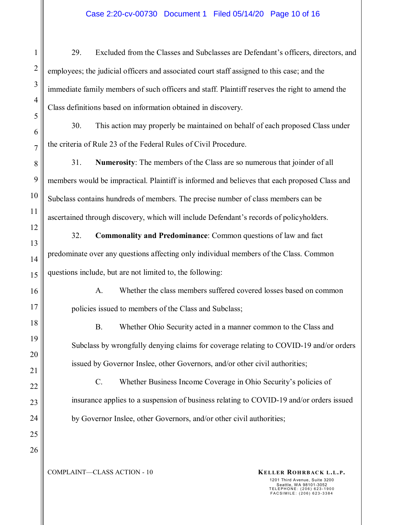#### Case 2:20-cv-00730 Document 1 Filed 05/14/20 Page 10 of 16

29. Excluded from the Classes and Subclasses are Defendant's officers, directors, and employees; the judicial officers and associated court staff assigned to this case; and the immediate family members of such officers and staff. Plaintiff reserves the right to amend the Class definitions based on information obtained in discovery.

30. This action may properly be maintained on behalf of each proposed Class under the criteria of Rule 23 of the Federal Rules of Civil Procedure.

31. **Numerosity**: The members of the Class are so numerous that joinder of all members would be impractical. Plaintiff is informed and believes that each proposed Class and Subclass contains hundreds of members. The precise number of class members can be ascertained through discovery, which will include Defendant's records of policyholders.

32. **Commonality and Predominance**: Common questions of law and fact predominate over any questions affecting only individual members of the Class. Common questions include, but are not limited to, the following:

A. Whether the class members suffered covered losses based on common policies issued to members of the Class and Subclass;

B. Whether Ohio Security acted in a manner common to the Class and Subclass by wrongfully denying claims for coverage relating to COVID-19 and/or orders issued by Governor Inslee, other Governors, and/or other civil authorities;

C. Whether Business Income Coverage in Ohio Security's policies of insurance applies to a suspension of business relating to COVID-19 and/or orders issued by Governor Inslee, other Governors, and/or other civil authorities;

1

2

3

4

5

6

7

8

9

10

11

12

13

14

15

16

17

18

19

20

COMPLAINT—CLASS ACTION - 10 **KELLER ROHRBACK L.L.P.**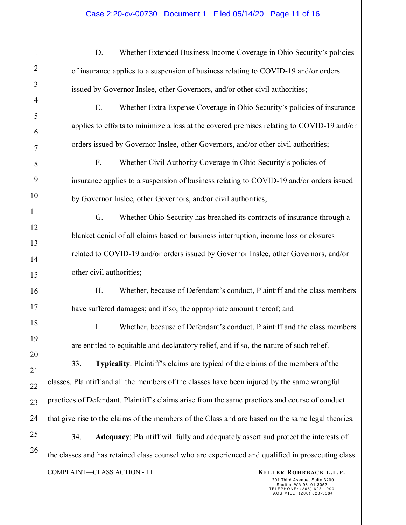D. Whether Extended Business Income Coverage in Ohio Security's policies of insurance applies to a suspension of business relating to COVID-19 and/or orders issued by Governor Inslee, other Governors, and/or other civil authorities;

E. Whether Extra Expense Coverage in Ohio Security's policies of insurance applies to efforts to minimize a loss at the covered premises relating to COVID-19 and/or orders issued by Governor Inslee, other Governors, and/or other civil authorities;

F. Whether Civil Authority Coverage in Ohio Security's policies of insurance applies to a suspension of business relating to COVID-19 and/or orders issued by Governor Inslee, other Governors, and/or civil authorities;

G. Whether Ohio Security has breached its contracts of insurance through a blanket denial of all claims based on business interruption, income loss or closures related to COVID-19 and/or orders issued by Governor Inslee, other Governors, and/or other civil authorities;

H. Whether, because of Defendant's conduct, Plaintiff and the class members have suffered damages; and if so, the appropriate amount thereof; and

I. Whether, because of Defendant's conduct, Plaintiff and the class members are entitled to equitable and declaratory relief, and if so, the nature of such relief.

33. **Typicality**: Plaintiff's claims are typical of the claims of the members of the classes. Plaintiff and all the members of the classes have been injured by the same wrongful practices of Defendant. Plaintiff's claims arise from the same practices and course of conduct that give rise to the claims of the members of the Class and are based on the same legal theories.

COMPLAINT—CLASS ACTION - 11 **KELLER ROHRBACK L.L.P.** 34. **Adequacy**: Plaintiff will fully and adequately assert and protect the interests of the classes and has retained class counsel who are experienced and qualified in prosecuting class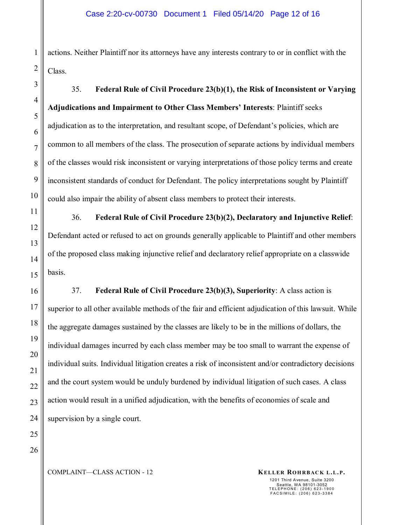actions. Neither Plaintiff nor its attorneys have any interests contrary to or in conflict with the Class.

35. **Federal Rule of Civil Procedure 23(b)(1), the Risk of Inconsistent or Varying Adjudications and Impairment to Other Class Members' Interests**: Plaintiff seeks adjudication as to the interpretation, and resultant scope, of Defendant's policies, which are common to all members of the class. The prosecution of separate actions by individual members of the classes would risk inconsistent or varying interpretations of those policy terms and create inconsistent standards of conduct for Defendant. The policy interpretations sought by Plaintiff could also impair the ability of absent class members to protect their interests.

36. **Federal Rule of Civil Procedure 23(b)(2), Declaratory and Injunctive Relief**: Defendant acted or refused to act on grounds generally applicable to Plaintiff and other members of the proposed class making injunctive relief and declaratory relief appropriate on a classwide basis.

37. **Federal Rule of Civil Procedure 23(b)(3), Superiority**: A class action is superior to all other available methods of the fair and efficient adjudication of this lawsuit. While the aggregate damages sustained by the classes are likely to be in the millions of dollars, the individual damages incurred by each class member may be too small to warrant the expense of individual suits. Individual litigation creates a risk of inconsistent and/or contradictory decisions and the court system would be unduly burdened by individual litigation of such cases. A class action would result in a unified adjudication, with the benefits of economies of scale and supervision by a single court.

1

2

3

4

5

6

7

8

9

10

11

12

13

14

15

16

17

18

19

20

21

22

COMPLAINT—CLASS ACTION - 12 **KELLER ROHRBACK L.L.P.**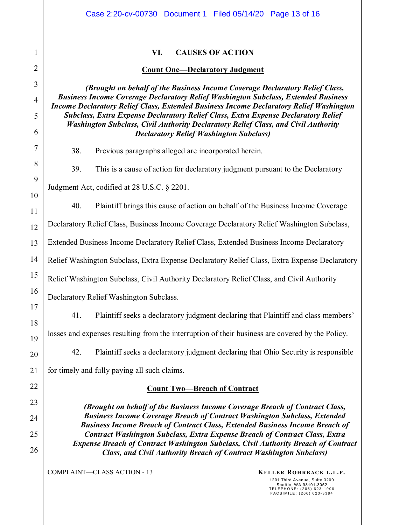|                | Case 2:20-cv-00730 Document 1 Filed 05/14/20 Page 13 of 16                                                                                                                                                                                                                        |  |  |  |  |  |  |  |
|----------------|-----------------------------------------------------------------------------------------------------------------------------------------------------------------------------------------------------------------------------------------------------------------------------------|--|--|--|--|--|--|--|
| 1              | VI.<br><b>CAUSES OF ACTION</b>                                                                                                                                                                                                                                                    |  |  |  |  |  |  |  |
| $\overline{2}$ | <b>Count One-Declaratory Judgment</b>                                                                                                                                                                                                                                             |  |  |  |  |  |  |  |
| 3              | (Brought on behalf of the Business Income Coverage Declaratory Relief Class,                                                                                                                                                                                                      |  |  |  |  |  |  |  |
| 4              | <b>Business Income Coverage Declaratory Relief Washington Subclass, Extended Business</b><br><b>Income Declaratory Relief Class, Extended Business Income Declaratory Relief Washington</b><br>Subclass, Extra Expense Declaratory Relief Class, Extra Expense Declaratory Relief |  |  |  |  |  |  |  |
| 5              |                                                                                                                                                                                                                                                                                   |  |  |  |  |  |  |  |
| 6              | Washington Subclass, Civil Authority Declaratory Relief Class, and Civil Authority<br><b>Declaratory Relief Washington Subclass)</b>                                                                                                                                              |  |  |  |  |  |  |  |
| 7              | 38.<br>Previous paragraphs alleged are incorporated herein.                                                                                                                                                                                                                       |  |  |  |  |  |  |  |
| 8              | 39.<br>This is a cause of action for declaratory judgment pursuant to the Declaratory                                                                                                                                                                                             |  |  |  |  |  |  |  |
| 9              | Judgment Act, codified at 28 U.S.C. § 2201.                                                                                                                                                                                                                                       |  |  |  |  |  |  |  |
| 10             |                                                                                                                                                                                                                                                                                   |  |  |  |  |  |  |  |
| 11             | 40.<br>Plaintiff brings this cause of action on behalf of the Business Income Coverage                                                                                                                                                                                            |  |  |  |  |  |  |  |
| 12             | Declaratory Relief Class, Business Income Coverage Declaratory Relief Washington Subclass,                                                                                                                                                                                        |  |  |  |  |  |  |  |
| 13             | Extended Business Income Declaratory Relief Class, Extended Business Income Declaratory                                                                                                                                                                                           |  |  |  |  |  |  |  |
| 14             | Relief Washington Subclass, Extra Expense Declaratory Relief Class, Extra Expense Declaratory                                                                                                                                                                                     |  |  |  |  |  |  |  |
| 15             | Relief Washington Subclass, Civil Authority Declaratory Relief Class, and Civil Authority                                                                                                                                                                                         |  |  |  |  |  |  |  |
| 16             | Declaratory Relief Washington Subclass.                                                                                                                                                                                                                                           |  |  |  |  |  |  |  |
| 17             | Plaintiff seeks a declaratory judgment declaring that Plaintiff and class members'<br>41.                                                                                                                                                                                         |  |  |  |  |  |  |  |
| 18             | losses and expenses resulting from the interruption of their business are covered by the Policy.                                                                                                                                                                                  |  |  |  |  |  |  |  |
| 19             |                                                                                                                                                                                                                                                                                   |  |  |  |  |  |  |  |
| 20             | Plaintiff seeks a declaratory judgment declaring that Ohio Security is responsible<br>42.                                                                                                                                                                                         |  |  |  |  |  |  |  |
| 21             | for timely and fully paying all such claims.                                                                                                                                                                                                                                      |  |  |  |  |  |  |  |
| 22             | <b>Count Two-Breach of Contract</b>                                                                                                                                                                                                                                               |  |  |  |  |  |  |  |
| 23             | (Brought on behalf of the Business Income Coverage Breach of Contract Class,                                                                                                                                                                                                      |  |  |  |  |  |  |  |
| 24             | <b>Business Income Coverage Breach of Contract Washington Subclass, Extended</b><br><b>Business Income Breach of Contract Class, Extended Business Income Breach of</b>                                                                                                           |  |  |  |  |  |  |  |
| 25             | <b>Contract Washington Subclass, Extra Expense Breach of Contract Class, Extra</b><br><b>Expense Breach of Contract Washington Subclass, Civil Authority Breach of Contract</b><br><b>Class, and Civil Authority Breach of Contract Washington Subclass)</b>                      |  |  |  |  |  |  |  |
| 26             |                                                                                                                                                                                                                                                                                   |  |  |  |  |  |  |  |
|                | <b>COMPLAINT-CLASS ACTION - 13</b><br><b>KELLER ROHRBACK L.L.P.</b><br>1201 Third Avenue, Suite 3200<br>Seattle, WA 98101-3052<br>TELEPHONE: (206) 623-1900<br>FACSIMILE: (206) 623-3384                                                                                          |  |  |  |  |  |  |  |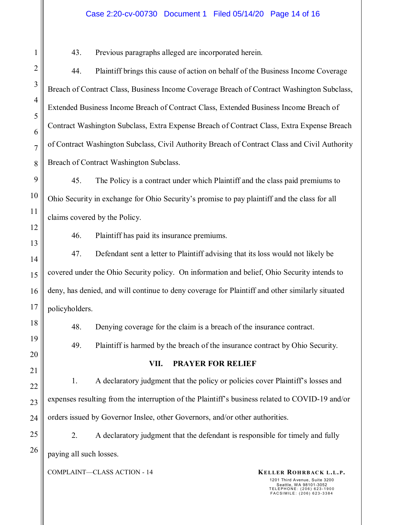#### Case 2:20-cv-00730 Document 1 Filed 05/14/20 Page 14 of 16

43. Previous paragraphs alleged are incorporated herein.

44. Plaintiff brings this cause of action on behalf of the Business Income Coverage Breach of Contract Class, Business Income Coverage Breach of Contract Washington Subclass, Extended Business Income Breach of Contract Class, Extended Business Income Breach of Contract Washington Subclass, Extra Expense Breach of Contract Class, Extra Expense Breach of Contract Washington Subclass, Civil Authority Breach of Contract Class and Civil Authority Breach of Contract Washington Subclass.

45. The Policy is a contract under which Plaintiff and the class paid premiums to Ohio Security in exchange for Ohio Security's promise to pay plaintiff and the class for all claims covered by the Policy.

46. Plaintiff has paid its insurance premiums.

47. Defendant sent a letter to Plaintiff advising that its loss would not likely be covered under the Ohio Security policy. On information and belief, Ohio Security intends to deny, has denied, and will continue to deny coverage for Plaintiff and other similarly situated policyholders.

48. Denying coverage for the claim is a breach of the insurance contract.

49. Plaintiff is harmed by the breach of the insurance contract by Ohio Security.

#### **VII. PRAYER FOR RELIEF**

1. A declaratory judgment that the policy or policies cover Plaintiff's losses and expenses resulting from the interruption of the Plaintiff's business related to COVID-19 and/or orders issued by Governor Inslee, other Governors, and/or other authorities.

2. A declaratory judgment that the defendant is responsible for timely and fully paying all such losses.

COMPLAINT—CLASS ACTION - 14 **KELLER ROHRBACK L.L.P.**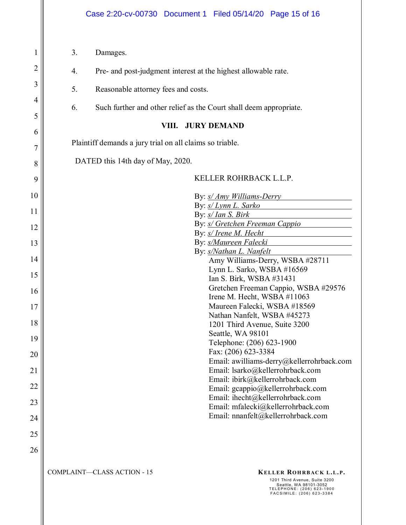| $\mathbf{1}$ | 3.<br>Damages.                                                                                                                                                                           |  |  |  |  |
|--------------|------------------------------------------------------------------------------------------------------------------------------------------------------------------------------------------|--|--|--|--|
| 2            | 4.<br>Pre- and post-judgment interest at the highest allowable rate.                                                                                                                     |  |  |  |  |
| 3            | 5.<br>Reasonable attorney fees and costs.                                                                                                                                                |  |  |  |  |
| 4            |                                                                                                                                                                                          |  |  |  |  |
| 5            | 6.<br>Such further and other relief as the Court shall deem appropriate.                                                                                                                 |  |  |  |  |
| 6            | <b>JURY DEMAND</b><br>VIII.                                                                                                                                                              |  |  |  |  |
| 7            | Plaintiff demands a jury trial on all claims so triable.                                                                                                                                 |  |  |  |  |
| 8            | DATED this 14th day of May, 2020.                                                                                                                                                        |  |  |  |  |
| 9            | KELLER ROHRBACK L.L.P.                                                                                                                                                                   |  |  |  |  |
| 10           | By: s/ Amy Williams-Derry                                                                                                                                                                |  |  |  |  |
| 11           | By: s/ Lynn L. Sarko<br>By: s/ Ian S. Birk                                                                                                                                               |  |  |  |  |
| 12           | By: s/ Gretchen Freeman Cappio                                                                                                                                                           |  |  |  |  |
|              | By: s/ Irene M. Hecht                                                                                                                                                                    |  |  |  |  |
| 13           | By: s/Maureen Falecki                                                                                                                                                                    |  |  |  |  |
| 14           | By: s/Nathan L. Nanfelt<br>Amy Williams-Derry, WSBA #28711                                                                                                                               |  |  |  |  |
| 15           | Lynn L. Sarko, WSBA #16569                                                                                                                                                               |  |  |  |  |
| 16           | Ian S. Birk, WSBA #31431<br>Gretchen Freeman Cappio, WSBA #29576                                                                                                                         |  |  |  |  |
| 17           | Irene M. Hecht, WSBA #11063<br>Maureen Falecki, WSBA #18569                                                                                                                              |  |  |  |  |
| 18           | Nathan Nanfelt, WSBA #45273                                                                                                                                                              |  |  |  |  |
|              | 1201 Third Avenue, Suite 3200<br>Seattle, WA 98101                                                                                                                                       |  |  |  |  |
| 19           | Telephone: (206) 623-1900                                                                                                                                                                |  |  |  |  |
| 20           | Fax: (206) 623-3384<br>Email: awilliams-derry@kellerrohrback.com                                                                                                                         |  |  |  |  |
| 21           | Email: lsarko@kellerrohrback.com                                                                                                                                                         |  |  |  |  |
| 22           | Email: ibirk@kellerrohrback.com<br>Email: gcappio@kellerrohrback.com                                                                                                                     |  |  |  |  |
| 23           | Email: ihecht@kellerrohrback.com<br>Email: mfalecki@kellerrohrback.com                                                                                                                   |  |  |  |  |
| 24           | Email: nnanfelt@kellerrohrback.com                                                                                                                                                       |  |  |  |  |
| 25           |                                                                                                                                                                                          |  |  |  |  |
| 26           |                                                                                                                                                                                          |  |  |  |  |
|              | <b>COMPLAINT-CLASS ACTION - 15</b><br><b>KELLER ROHRBACK L.L.P.</b><br>1201 Third Avenue, Suite 3200<br>Seattle, WA 98101-3052<br>TELEPHONE: (206) 623-1900<br>FACSIMILE: (206) 623-3384 |  |  |  |  |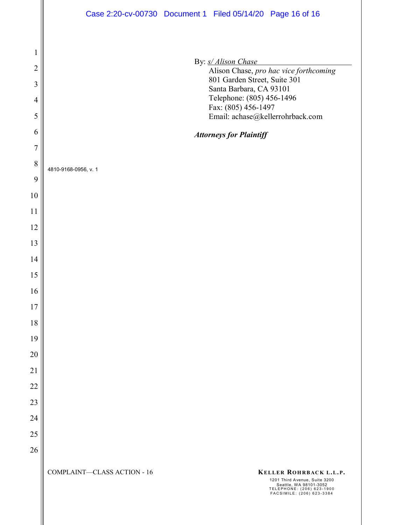